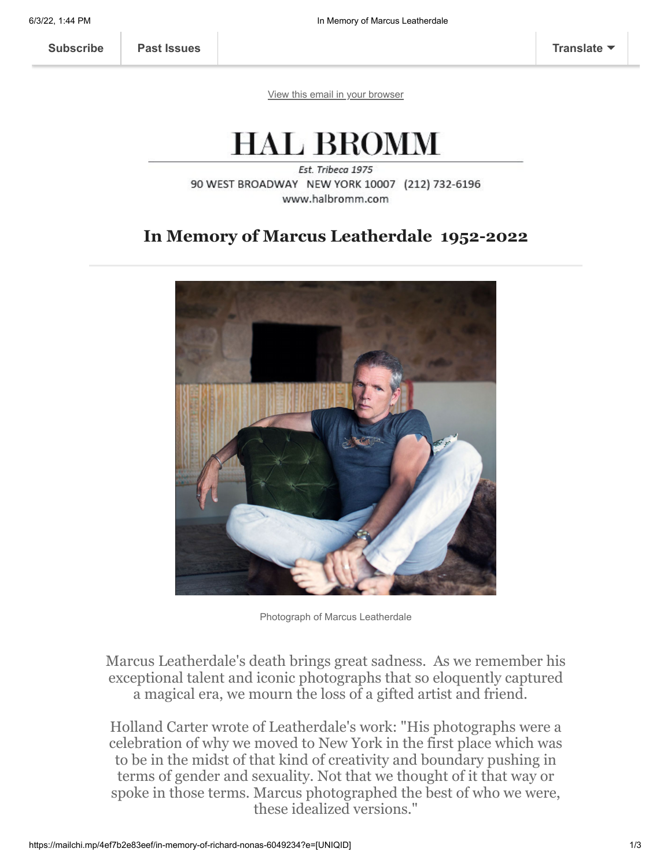[View this email in your browser](https://mailchi.mp/4ef7b2e83eef/in-memory-of-richard-nonas-6049234?e=[UNIQID])

## **HAL BROMM**

Est. Tribeca 1975 90 WEST BROADWAY NEW YORK 10007 (212) 732-6196 www.halbromm.com

## **In Memory of Marcus Leatherdale 1952-2022**



Photograph of Marcus Leatherdale

Marcus Leatherdale's death brings great sadness. As we remember his exceptional talent and iconic photographs that so eloquently captured a magical era, we mourn the loss of a gifted artist and friend.

Holland Carter wrote of Leatherdale's work: "His photographs were a celebration of why we moved to New York in the first place which was to be in the midst of that kind of creativity and boundary pushing in terms of gender and sexuality. Not that we thought of it that way or spoke in those terms. Marcus photographed the best of who we were, these idealized versions."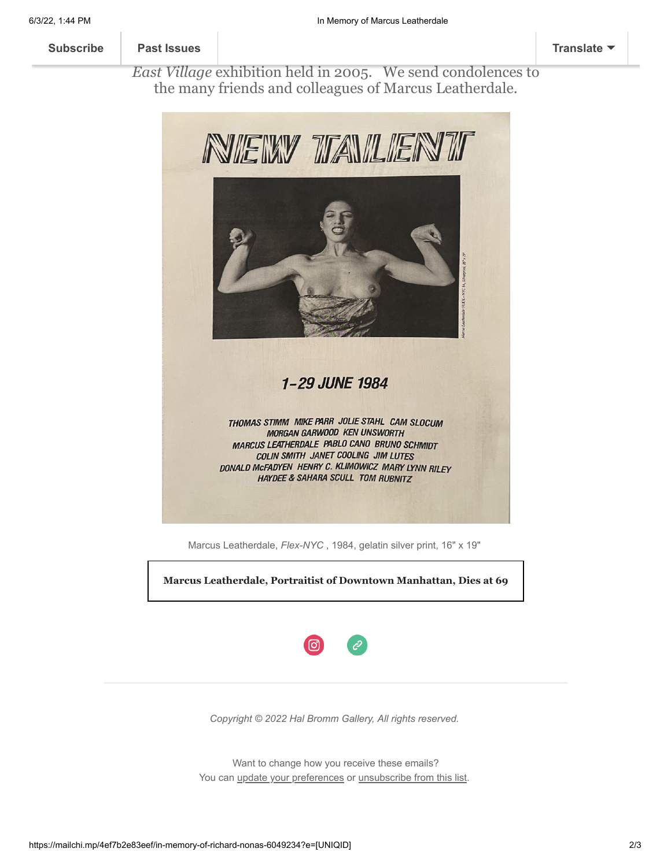## [Marcus exhibite](https://us11.campaign-archive.com/home/?u=01457ce935317ad1d5b4d7b39&id=f7d2f74d1d)d in the 1984 *New Talent* exhibition at Hal Bromm, creating the poster illustrated below, as well as well as well as well as well as well as well as the gallery of  $\mathcal{V}$ **[Subscribe](http://eepurl.com/gMVS-b) Past Issues [Translate](javascript:;)**

*East Village* exhibition held in 2005. We send condolences to the many friends and colleagues of Marcus Leatherdale.



Marcus Leatherdale, *Flex-NYC* , 1984, gelatin silver print, 16" x 19"

**[Marcus Leatherdale, Portraitist of Downtown Manhattan, Dies at 69](https://www.nytimes.com/2022/05/04/arts/marcus-leatherdale-dead.html)**



*Copyright © 2022 Hal Bromm Gallery, All rights reserved.*

Want to change how you receive these emails? You can [update your preferences](https://halbromm.us11.list-manage.com/profile?u=01457ce935317ad1d5b4d7b39&id=f7d2f74d1d&e=[UNIQID]&c=9ea12e688d) or [unsubscribe from this list](https://halbromm.us11.list-manage.com/unsubscribe?u=01457ce935317ad1d5b4d7b39&id=f7d2f74d1d&e=[UNIQID]&c=9ea12e688d).